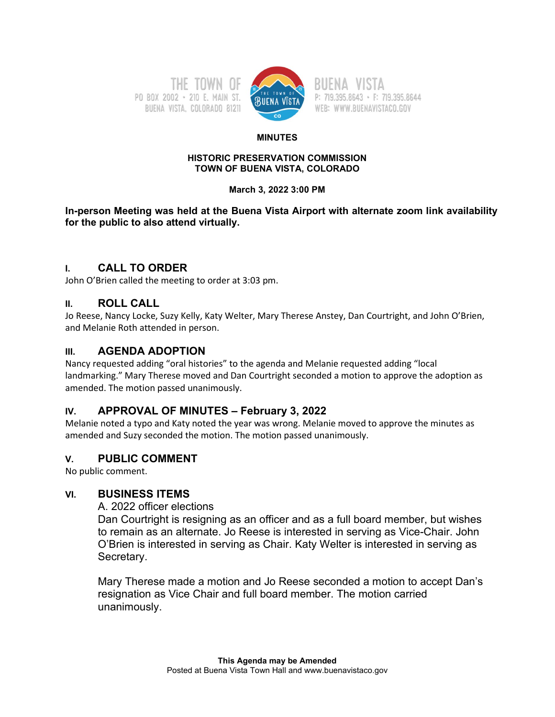



P: 719.395.8643 · F: 719.395.8644 WEB: WWW.BUENAVISTACO.GOV

#### **MINUTES**

#### **HISTORIC PRESERVATION COMMISSION TOWN OF BUENA VISTA, COLORADO**

### **March 3, 2022 3:00 PM**

**In-person Meeting was held at the Buena Vista Airport with alternate zoom link availability for the public to also attend virtually.** 

# **I. CALL TO ORDER**

John O'Brien called the meeting to order at 3:03 pm.

# **II. ROLL CALL**

Jo Reese, Nancy Locke, Suzy Kelly, Katy Welter, Mary Therese Anstey, Dan Courtright, and John O'Brien, and Melanie Roth attended in person.

# **III. AGENDA ADOPTION**

Nancy requested adding "oral histories" to the agenda and Melanie requested adding "local landmarking." Mary Therese moved and Dan Courtright seconded a motion to approve the adoption as amended. The motion passed unanimously.

# **IV. APPROVAL OF MINUTES – February 3, 2022**

Melanie noted a typo and Katy noted the year was wrong. Melanie moved to approve the minutes as amended and Suzy seconded the motion. The motion passed unanimously.

# **V. PUBLIC COMMENT**

No public comment.

# **VI. BUSINESS ITEMS**

A. 2022 officer elections

Dan Courtright is resigning as an officer and as a full board member, but wishes to remain as an alternate. Jo Reese is interested in serving as Vice-Chair. John O'Brien is interested in serving as Chair. Katy Welter is interested in serving as Secretary.

Mary Therese made a motion and Jo Reese seconded a motion to accept Dan's resignation as Vice Chair and full board member. The motion carried unanimously.